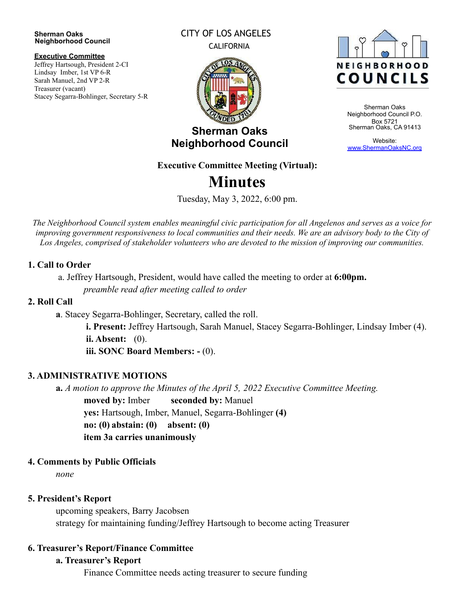#### **Sherman Oaks Neighborhood Council**

#### **Executive Committee**

Jeffrey Hartsough, President 2-CI Lindsay Imber, 1st VP 6-R Sarah Manuel, 2nd VP 2-R Treasurer (vacant) Stacey Segarra-Bohlinger, Secretary 5-R

#### CITY OF LOS ANGELES CALIFORNIA



**Sherman Oaks Neighborhood Council**



Sherman Oaks Neighborhood Council P.O. Box 5721 Sherman Oaks, CA 91413

Website: [www.ShermanOaksNC.org](http://www.shermanoaksnc.org/)

# **Executive Committee Meeting (Virtual):**

# **Minutes**

Tuesday, May 3, 2022, 6:00 pm.

The Neighborhood Council system enables meaningful civic participation for all Angelenos and serves as a voice for improving government responsiveness to local communities and their needs. We are an advisory body to the City of *Los Angeles, comprised of stakeholder volunteers who are devoted to the mission of improving our communities.*

#### **1. Call to Order**

a. Jeffrey Hartsough, President, would have called the meeting to order at **6:00pm.** *preamble read after meeting called to order*

#### **2. Roll Call**

**a**. Stacey Segarra-Bohlinger, Secretary, called the roll.

**i. Present:** Jeffrey Hartsough, Sarah Manuel, Stacey Segarra-Bohlinger, Lindsay Imber (4). **ii. Absent:** (0).

**iii. SONC Board Members: -** (0).

# **3. ADMINISTRATIVE MOTIONS**

**a.** *A motion to approve the Minutes of the April 5, 2022 Executive Committee Meeting.* **moved by:** Imber **seconded by:** Manuel **yes:** Hartsough, Imber, Manuel, Segarra-Bohlinger **(4) no: (0) abstain: (0) absent: (0) item 3a carries unanimously**

# **4. Comments by Public Officials**

*none*

# **5. President's Report**

upcoming speakers, Barry Jacobsen strategy for maintaining funding/Jeffrey Hartsough to become acting Treasurer

# **6. Treasurer's Report/Finance Committee**

# **a. Treasurer's Report**

Finance Committee needs acting treasurer to secure funding